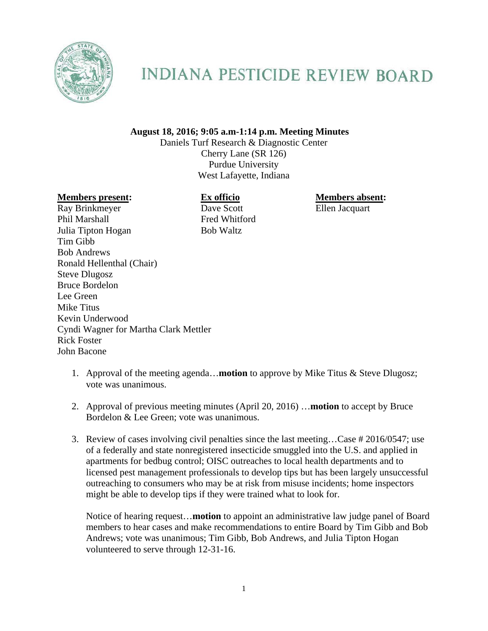

## **INDIANA PESTICIDE REVIEW BOARD**

## **August 18, 2016; 9:05 a.m-1:14 p.m. Meeting Minutes**

Daniels Turf Research & Diagnostic Center Cherry Lane (SR 126) Purdue University West Lafayette, Indiana

## **Members present: Ex officio Members absent: Members absent:**

Ray Brinkmeyer Dave Scott Ellen Jacquart Phil Marshall Fred Whitford Julia Tipton Hogan Bob Waltz Tim Gibb Bob Andrews Ronald Hellenthal (Chair) Steve Dlugosz Bruce Bordelon Lee Green Mike Titus Kevin Underwood Cyndi Wagner for Martha Clark Mettler Rick Foster John Bacone

- 1. Approval of the meeting agenda…**motion** to approve by Mike Titus & Steve Dlugosz; vote was unanimous.
- 2. Approval of previous meeting minutes (April 20, 2016) …**motion** to accept by Bruce Bordelon & Lee Green; vote was unanimous.
- 3. Review of cases involving civil penalties since the last meeting…Case # 2016/0547; use of a federally and state nonregistered insecticide smuggled into the U.S. and applied in apartments for bedbug control; OISC outreaches to local health departments and to licensed pest management professionals to develop tips but has been largely unsuccessful outreaching to consumers who may be at risk from misuse incidents; home inspectors might be able to develop tips if they were trained what to look for.

Notice of hearing request…**motion** to appoint an administrative law judge panel of Board members to hear cases and make recommendations to entire Board by Tim Gibb and Bob Andrews; vote was unanimous; Tim Gibb, Bob Andrews, and Julia Tipton Hogan volunteered to serve through 12-31-16.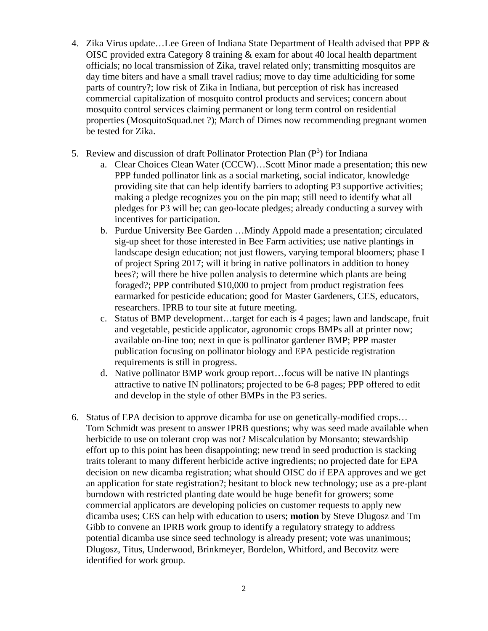- 4. Zika Virus update…Lee Green of Indiana State Department of Health advised that PPP & OISC provided extra Category 8 training & exam for about 40 local health department officials; no local transmission of Zika, travel related only; transmitting mosquitos are day time biters and have a small travel radius; move to day time adulticiding for some parts of country?; low risk of Zika in Indiana, but perception of risk has increased commercial capitalization of mosquito control products and services; concern about mosquito control services claiming permanent or long term control on residential properties (MosquitoSquad.net ?); March of Dimes now recommending pregnant women be tested for Zika.
- 5. Review and discussion of draft Pollinator Protection Plan  $(P^3)$  for Indiana
	- a. Clear Choices Clean Water (CCCW)…Scott Minor made a presentation; this new PPP funded pollinator link as a social marketing, social indicator, knowledge providing site that can help identify barriers to adopting P3 supportive activities; making a pledge recognizes you on the pin map; still need to identify what all pledges for P3 will be; can geo-locate pledges; already conducting a survey with incentives for participation.
	- b. Purdue University Bee Garden …Mindy Appold made a presentation; circulated sig-up sheet for those interested in Bee Farm activities; use native plantings in landscape design education; not just flowers, varying temporal bloomers; phase I of project Spring 2017; will it bring in native pollinators in addition to honey bees?; will there be hive pollen analysis to determine which plants are being foraged?; PPP contributed \$10,000 to project from product registration fees earmarked for pesticide education; good for Master Gardeners, CES, educators, researchers. IPRB to tour site at future meeting.
	- c. Status of BMP development…target for each is 4 pages; lawn and landscape, fruit and vegetable, pesticide applicator, agronomic crops BMPs all at printer now; available on-line too; next in que is pollinator gardener BMP; PPP master publication focusing on pollinator biology and EPA pesticide registration requirements is still in progress.
	- d. Native pollinator BMP work group report…focus will be native IN plantings attractive to native IN pollinators; projected to be 6-8 pages; PPP offered to edit and develop in the style of other BMPs in the P3 series.
- 6. Status of EPA decision to approve dicamba for use on genetically-modified crops… Tom Schmidt was present to answer IPRB questions; why was seed made available when herbicide to use on tolerant crop was not? Miscalculation by Monsanto; stewardship effort up to this point has been disappointing; new trend in seed production is stacking traits tolerant to many different herbicide active ingredients; no projected date for EPA decision on new dicamba registration; what should OISC do if EPA approves and we get an application for state registration?; hesitant to block new technology; use as a pre-plant burndown with restricted planting date would be huge benefit for growers; some commercial applicators are developing policies on customer requests to apply new dicamba uses; CES can help with education to users; **motion** by Steve Dlugosz and Tm Gibb to convene an IPRB work group to identify a regulatory strategy to address potential dicamba use since seed technology is already present; vote was unanimous; Dlugosz, Titus, Underwood, Brinkmeyer, Bordelon, Whitford, and Becovitz were identified for work group.